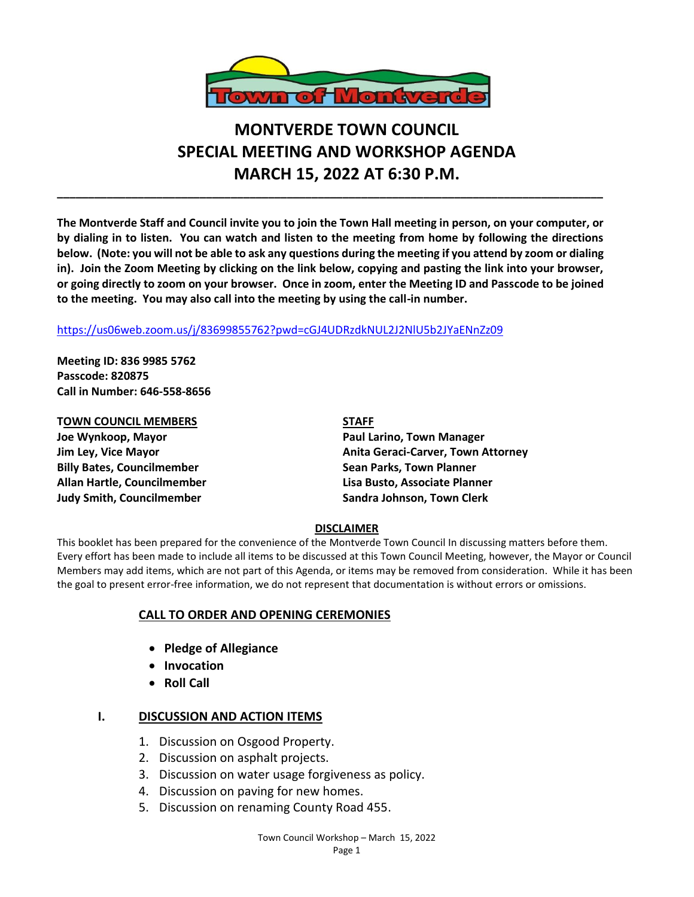

# **MONTVERDE TOWN COUNCIL SPECIAL MEETING AND WORKSHOP AGENDA MARCH 15, 2022 AT 6:30 P.M.**

**The Montverde Staff and Council invite you to join the Town Hall meeting in person, on your computer, or by dialing in to listen. You can watch and listen to the meeting from home by following the directions below. (Note: you will not be able to ask any questions during the meeting if you attend by zoom or dialing in). Join the Zoom Meeting by clicking on the link below, copying and pasting the link into your browser, or going directly to zoom on your browser. Once in zoom, enter the Meeting ID and Passcode to be joined to the meeting. You may also call into the meeting by using the call-in number.** 

**\_\_\_\_\_\_\_\_\_\_\_\_\_\_\_\_\_\_\_\_\_\_\_\_\_\_\_\_\_\_\_\_\_\_\_\_\_\_\_\_\_\_\_\_\_\_\_\_\_\_\_\_\_\_\_\_\_\_\_\_\_\_\_\_\_\_\_\_\_\_\_\_\_\_\_\_\_\_\_\_\_\_\_\_\_\_\_\_**

### <https://us06web.zoom.us/j/83699855762?pwd=cGJ4UDRzdkNUL2J2NlU5b2JYaENnZz09>

**Meeting ID: 836 9985 5762 Passcode: 820875 Call in Number: 646-558-8656**

**TOWN COUNCIL MEMBERS STAFF Joe Wynkoop, Mayor Paul Larino, Town Manager Billy Bates, Councilmember Sean Parks, Town Planner Allan Hartle, Councilmember Lisa Busto, Associate Planner Judy Smith, Councilmember Sandra Johnson, Town Clerk**

**Jim Ley, Vice Mayor Anita Geraci-Carver, Town Attorney**

### **DISCLAIMER**

This booklet has been prepared for the convenience of the Montverde Town Council In discussing matters before them. Every effort has been made to include all items to be discussed at this Town Council Meeting, however, the Mayor or Council Members may add items, which are not part of this Agenda, or items may be removed from consideration. While it has been the goal to present error-free information, we do not represent that documentation is without errors or omissions.

### **CALL TO ORDER AND OPENING CEREMONIES**

- **Pledge of Allegiance**
- **Invocation**
- **Roll Call**

# **I. DISCUSSION AND ACTION ITEMS**

- 1. Discussion on Osgood Property.
- 2. Discussion on asphalt projects.
- 3. Discussion on water usage forgiveness as policy.
- 4. Discussion on paving for new homes.
- 5. Discussion on renaming County Road 455.